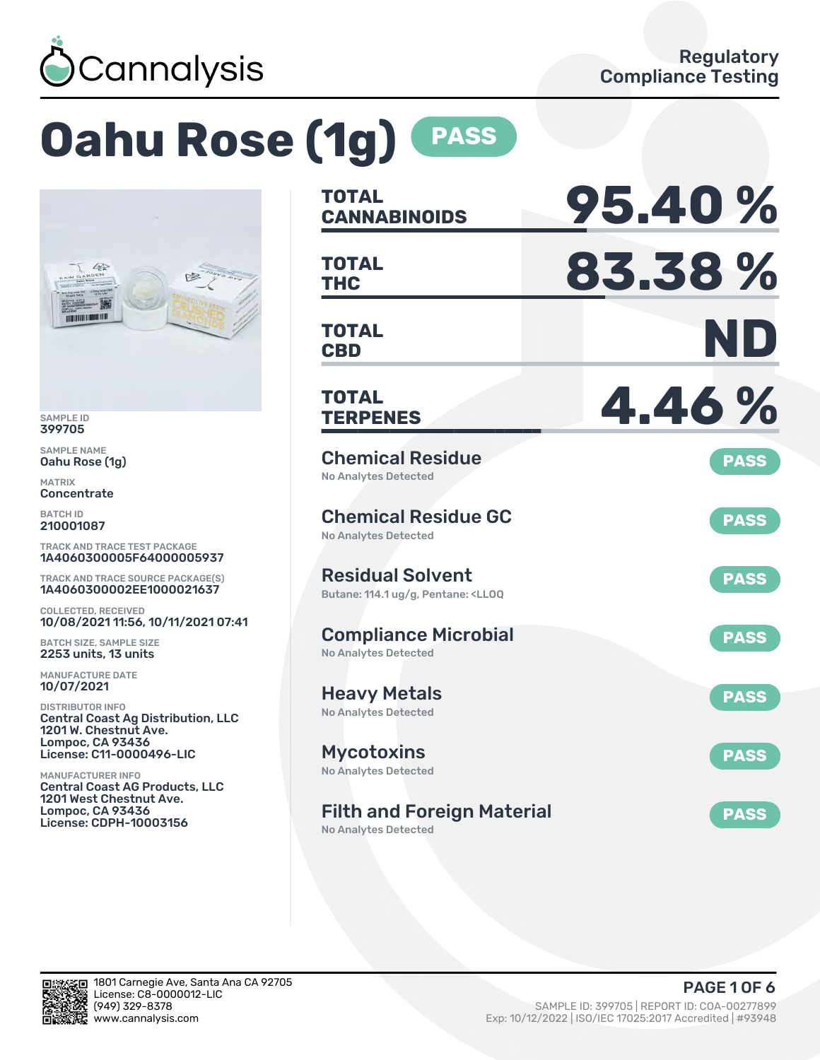

# **Oahu Rose (1g) PASS**



SAMPLE ID 399705

SAMPLE NAME Oahu Rose (1g)

MATRIX **Concentrate** 

BATCH ID 210001087

TRACK AND TRACE TEST PACKAGE 1A4060300005F64000005937

TRACK AND TRACE SOURCE PACKAGE(S) 1A4060300002EE1000021637

COLLECTED, RECEIVED 10/08/2021 11:56, 10/11/2021 07:41

BATCH SIZE, SAMPLE SIZE 2253 units, 13 units

MANUFACTURE DATE 10/07/2021

DISTRIBUTOR INFO Central Coast Ag Distribution, LLC 1201 W. Chestnut Ave. Lompoc, CA 93436 License: C11-0000496-LIC

MANUFACTURER INFO Central Coast AG Products, LLC 1201 West Chestnut Ave. Lompoc, CA 93436 License: CDPH-10003156

| <b>TOTAL</b><br><b>CANNABINOIDS</b>                                                               | 95.40%      |
|---------------------------------------------------------------------------------------------------|-------------|
| <b>TOTAL</b><br><b>THC</b>                                                                        | 83.38%      |
| <b>TOTAL</b><br><b>CBD</b>                                                                        | ND          |
| <b>TOTAL</b><br><b>TERPENES</b>                                                                   | 4.46%       |
| <b>Chemical Residue</b><br>No Analytes Detected                                                   | <b>PASS</b> |
| <b>Chemical Residue GC</b><br><b>No Analytes Detected</b>                                         | <b>PASS</b> |
| <b>Residual Solvent</b><br>Butane: 114.1 ug/g, Pentane: <ll0q< td=""><td><b>PASS</b></td></ll0q<> | <b>PASS</b> |
| <b>Compliance Microbial</b><br><b>No Analytes Detected</b>                                        | <b>PASS</b> |
| <b>Heavy Metals</b><br><b>No Analytes Detected</b>                                                | <b>PASS</b> |
| <b>Mycotoxins</b><br>No Analytes Detected                                                         | <b>PASS</b> |
| <b>Filth and Foreign Material</b>                                                                 | <b>PASS</b> |

No Analytes Detected

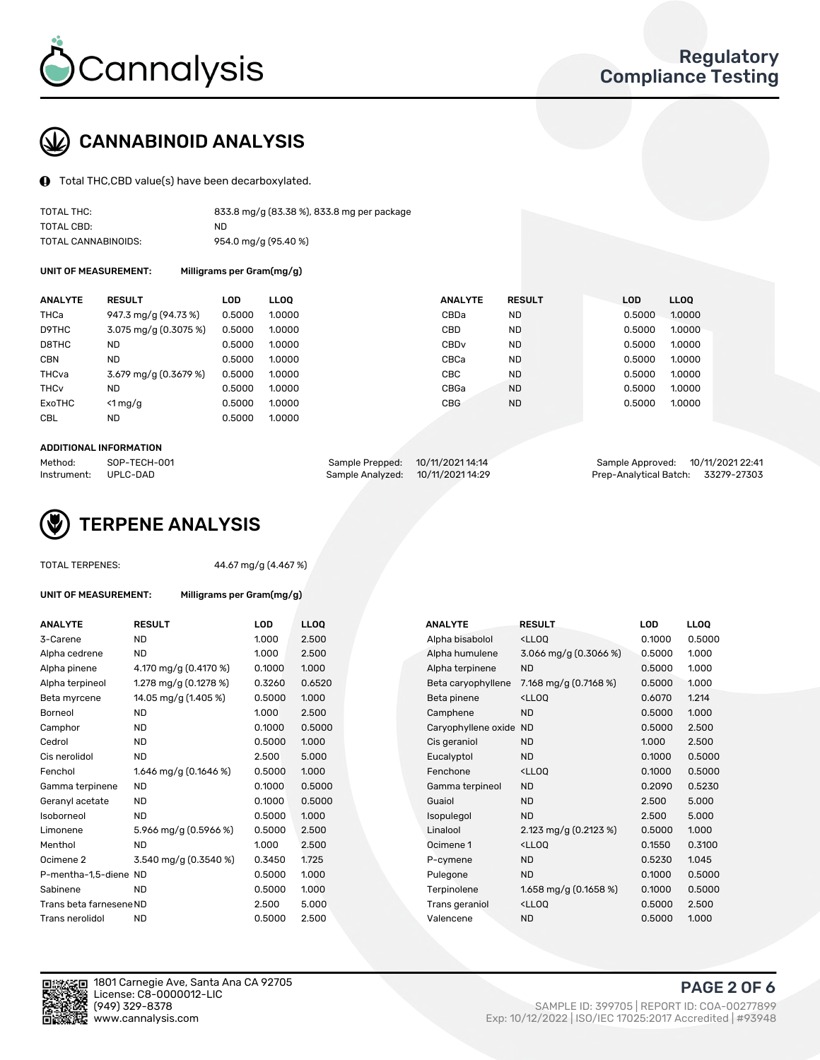

## CANNABINOID ANALYSIS

Total THC,CBD value(s) have been decarboxylated.

| TOTAL THC:          | 833.8 mg/g (83.38 %), 833.8 mg per package |
|---------------------|--------------------------------------------|
| TOTAL CBD:          | ND                                         |
| TOTAL CANNABINOIDS: | 954.0 mg/g (95.40 %)                       |

UNIT OF MEASUREMENT: Milligrams per Gram(mg/g)

| <b>ANALYTE</b>         | <b>RESULT</b>                           | LOD.   | <b>LLOO</b> | <b>ANALYTE</b>   | <b>RESULT</b> | <b>LOD</b> | <b>LLOQ</b> |
|------------------------|-----------------------------------------|--------|-------------|------------------|---------------|------------|-------------|
| <b>THCa</b>            | 947.3 mg/g (94.73 %)                    | 0.5000 | 1.0000      | CBDa             | <b>ND</b>     | 0.5000     | 1.0000      |
| D9THC                  | 3.075 mg/g (0.3075 %)                   | 0.5000 | 1.0000      | <b>CBD</b>       | <b>ND</b>     | 0.5000     | 1.0000      |
| D8THC                  | ND                                      | 0.5000 | 1.0000      | CBD <sub>v</sub> | <b>ND</b>     | 0.5000     | 1.0000      |
| <b>CBN</b>             | <b>ND</b>                               | 0.5000 | 1.0000      | CBCa             | <b>ND</b>     | 0.5000     | 1.0000      |
| THCva                  | $3.679 \text{ mg/q} (0.3679 \text{ %})$ | 0.5000 | 1.0000      | CBC              | <b>ND</b>     | 0.5000     | 1.0000      |
| <b>THC<sub>v</sub></b> | ND                                      | 0.5000 | 1.0000      | CBGa             | <b>ND</b>     | 0.5000     | 1.0000      |
| ExoTHC                 | $<$ 1 mg/g                              | 0.5000 | 1.0000      | <b>CBG</b>       | <b>ND</b>     | 0.5000     | 1.0000      |
| <b>CBL</b>             | ND                                      | 0.5000 | 1.0000      |                  |               |            |             |

#### ADDITIONAL INFORMATION

| Method:              | SOP-TECH-001 | Sample Prepped: 10/11/2021 14:14  | Sample Approved: 10/11/2021 22:41  |  |
|----------------------|--------------|-----------------------------------|------------------------------------|--|
| Instrument: UPLC-DAD |              | Sample Analyzed: 10/11/2021 14:29 | Prep-Analytical Batch: 33279-27303 |  |



#### TOTAL TEDDENES:  $\frac{1}{4}$   $\frac{1}{6}$   $\frac{1}{4}$   $\frac{1}{6}$   $\frac{1}{6}$   $\frac{1}{6}$   $\frac{1}{6}$   $\frac{1}{6}$   $\frac{1}{6}$   $\frac{1}{6}$   $\frac{1}{6}$   $\frac{1}{6}$   $\frac{1}{6}$   $\frac{1}{6}$   $\frac{1}{6}$   $\frac{1}{6}$   $\frac{1}{6}$   $\frac{1}{6}$   $\frac{1}{6}$   $\frac{1}{6}$   $\frac{1$

| <b>RESULT</b>           | <b>LOD</b>                                                               | <b>LLOO</b> |                           | <b>ANALYTE</b>     | <b>RESULT</b>                                      | <b>LOD</b>             | <b>LLOQ</b> |
|-------------------------|--------------------------------------------------------------------------|-------------|---------------------------|--------------------|----------------------------------------------------|------------------------|-------------|
| <b>ND</b>               | 1.000                                                                    | 2.500       |                           | Alpha bisabolol    | <lloq< td=""><td>0.1000</td><td>0.500</td></lloq<> | 0.1000                 | 0.500       |
| <b>ND</b>               | 1.000                                                                    | 2.500       |                           | Alpha humulene     | 3.066 mg/g $(0.3066\%)$                            | 0.5000                 | 1.000       |
| 4.170 mg/g (0.4170 %)   | 0.1000                                                                   | 1.000       |                           | Alpha terpinene    | <b>ND</b>                                          | 0.5000                 | 1.000       |
| 1.278 mg/g $(0.1278\%)$ | 0.3260                                                                   | 0.6520      |                           | Beta caryophyllene | 7.168 mg/g (0.7168 %)                              | 0.5000                 | 1.000       |
| 14.05 mg/g (1.405 %)    | 0.5000                                                                   | 1.000       |                           | Beta pinene        | <lloq< td=""><td>0.6070</td><td>1.214</td></lloq<> | 0.6070                 | 1.214       |
| <b>ND</b>               | 1.000                                                                    | 2.500       |                           | Camphene           | <b>ND</b>                                          | 0.5000                 | 1.000       |
| <b>ND</b>               | 0.1000                                                                   | 0.5000      |                           |                    |                                                    | 0.5000                 | 2.500       |
| <b>ND</b>               | 0.5000                                                                   | 1.000       |                           | Cis geraniol       | <b>ND</b>                                          | 1.000                  | 2.500       |
| <b>ND</b>               | 2.500                                                                    | 5.000       |                           | Eucalyptol         | <b>ND</b>                                          | 0.1000                 | 0.500       |
| 1.646 mg/g (0.1646 %)   | 0.5000                                                                   | 1.000       |                           | Fenchone           | <lloq< td=""><td>0.1000</td><td>0.500</td></lloq<> | 0.1000                 | 0.500       |
| <b>ND</b>               | 0.1000                                                                   | 0.5000      |                           | Gamma terpineol    | <b>ND</b>                                          | 0.2090                 | 0.523       |
| <b>ND</b>               | 0.1000                                                                   | 0.5000      |                           | Guaiol             | <b>ND</b>                                          | 2.500                  | 5.000       |
| <b>ND</b>               | 0.5000                                                                   | 1.000       |                           | Isopulegol         | <b>ND</b>                                          | 2.500                  | 5.000       |
| 5.966 mg/g (0.5966 %)   | 0.5000                                                                   | 2.500       |                           | Linalool           | 2.123 mg/g (0.2123 %)                              | 0.5000                 | 1.000       |
| <b>ND</b>               | 1.000                                                                    | 2.500       |                           | Ocimene 1          | $<$ LLOO                                           | 0.1550                 | 0.310       |
| 3.540 mg/g (0.3540 %)   | 0.3450                                                                   | 1.725       |                           | P-cymene           | <b>ND</b>                                          | 0.5230                 | 1.045       |
|                         | 0.5000                                                                   | 1.000       |                           | Pulegone           | <b>ND</b>                                          | 0.1000                 | 0.500       |
| <b>ND</b>               | 0.5000                                                                   | 1.000       |                           | Terpinolene        | 1.658 mg/g $(0.1658\%)$                            | 0.1000                 | 0.500       |
|                         | 2.500                                                                    | 5.000       |                           | Trans geraniol     | <lloq< td=""><td>0.5000</td><td>2.500</td></lloq<> | 0.5000                 | 2.500       |
| <b>ND</b>               | 0.5000                                                                   | 2.500       |                           | Valencene          | <b>ND</b>                                          | 0.5000                 | 1.000       |
|                         | UNIT OF MEASUREMENT:<br>P-mentha-1,5-diene ND<br>Trans beta farnesene ND |             | Milligrams per Gram(mg/g) |                    |                                                    | Caryophyllene oxide ND |             |

| <b>ANALYTE</b>          | <b>RESULT</b>          | <b>LOD</b> | <b>LLOQ</b> | <b>ANALYTE</b>         | <b>RESULT</b>                                       | <b>LOD</b> | <b>LLOQ</b> |
|-------------------------|------------------------|------------|-------------|------------------------|-----------------------------------------------------|------------|-------------|
| 3-Carene                | <b>ND</b>              | 1.000      | 2.500       | Alpha bisabolol        | <lloq< td=""><td>0.1000</td><td>0.5000</td></lloq<> | 0.1000     | 0.5000      |
| Alpha cedrene           | <b>ND</b>              | 1.000      | 2.500       | Alpha humulene         | 3.066 mg/g $(0.3066\%)$                             | 0.5000     | 1.000       |
| Alpha pinene            | 4.170 mg/g (0.4170 %)  | 0.1000     | 1.000       | Alpha terpinene        | <b>ND</b>                                           | 0.5000     | 1.000       |
| Alpha terpineol         | 1.278 mg/g $(0.1278%)$ | 0.3260     | 0.6520      | Beta caryophyllene     | 7.168 mg/g $(0.7168\%)$                             | 0.5000     | 1.000       |
| Beta myrcene            | 14.05 mg/g (1.405 %)   | 0.5000     | 1.000       | Beta pinene            | <lloq< td=""><td>0.6070</td><td>1.214</td></lloq<>  | 0.6070     | 1.214       |
| Borneol                 | <b>ND</b>              | 1.000      | 2.500       | Camphene               | <b>ND</b>                                           | 0.5000     | 1.000       |
| Camphor                 | <b>ND</b>              | 0.1000     | 0.5000      | Caryophyllene oxide ND |                                                     | 0.5000     | 2.500       |
| Cedrol                  | <b>ND</b>              | 0.5000     | 1.000       | Cis geraniol           | <b>ND</b>                                           | 1.000      | 2.500       |
| Cis nerolidol           | <b>ND</b>              | 2.500      | 5.000       | Eucalyptol             | <b>ND</b>                                           | 0.1000     | 0.5000      |
| Fenchol                 | 1.646 mg/g $(0.1646%)$ | 0.5000     | 1.000       | Fenchone               | <lloq< td=""><td>0.1000</td><td>0.5000</td></lloq<> | 0.1000     | 0.5000      |
| Gamma terpinene         | <b>ND</b>              | 0.1000     | 0.5000      | Gamma terpineol        | <b>ND</b>                                           | 0.2090     | 0.5230      |
| Geranyl acetate         | ND.                    | 0.1000     | 0.5000      | Guaiol                 | <b>ND</b>                                           | 2.500      | 5.000       |
| Isoborneol              | <b>ND</b>              | 0.5000     | 1.000       | Isopulegol             | <b>ND</b>                                           | 2.500      | 5.000       |
| Limonene                | 5.966 mg/g (0.5966 %)  | 0.5000     | 2.500       | Linalool               | 2.123 mg/g (0.2123 %)                               | 0.5000     | 1.000       |
| Menthol                 | <b>ND</b>              | 1.000      | 2.500       | Ocimene 1              | <lloq< td=""><td>0.1550</td><td>0.3100</td></lloq<> | 0.1550     | 0.3100      |
| Ocimene 2               | 3.540 mg/g (0.3540 %)  | 0.3450     | 1.725       | P-cymene               | <b>ND</b>                                           | 0.5230     | 1.045       |
| P-mentha-1,5-diene ND   |                        | 0.5000     | 1.000       | Pulegone               | <b>ND</b>                                           | 0.1000     | 0.5000      |
| Sabinene                | <b>ND</b>              | 0.5000     | 1.000       | Terpinolene            | 1.658 mg/g $(0.1658\%)$                             | 0.1000     | 0.5000      |
| Trans beta farnesene ND |                        | 2.500      | 5.000       | Trans geraniol         | <lloq< td=""><td>0.5000</td><td>2.500</td></lloq<>  | 0.5000     | 2.500       |
| Trans nerolidol         | <b>ND</b>              | 0.5000     | 2.500       | Valencene              | <b>ND</b>                                           | 0.5000     | 1.000       |



PAGE 2 OF 6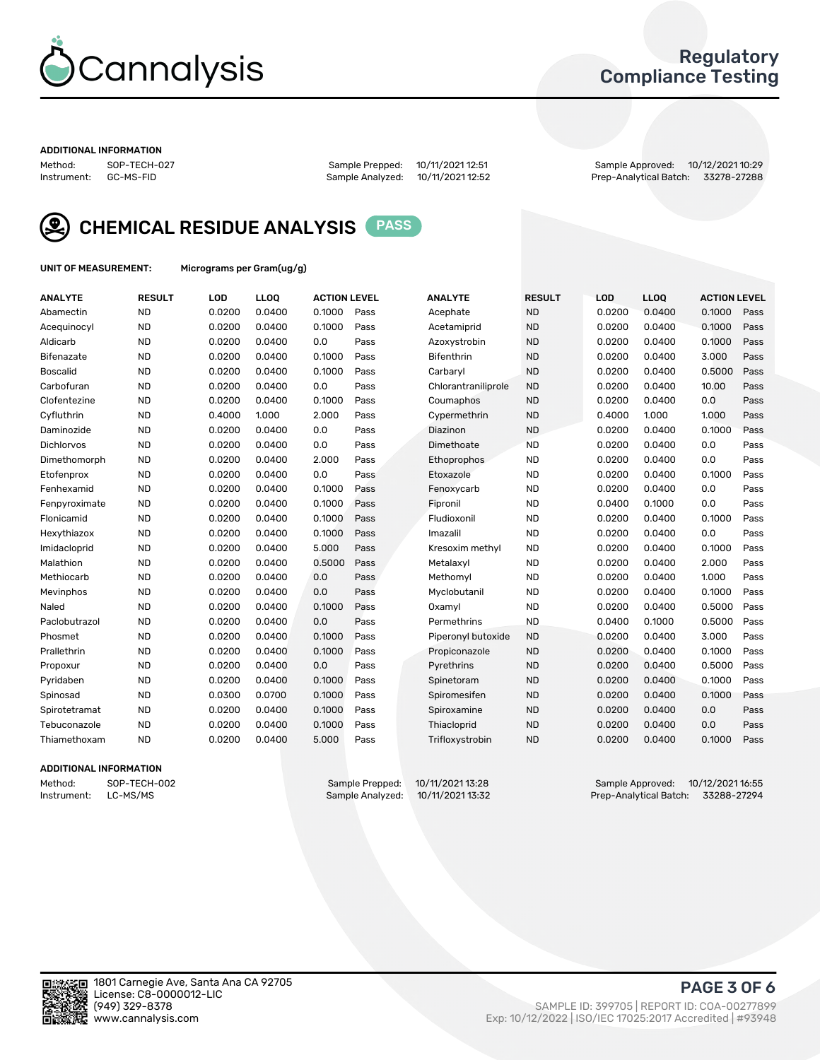

## Regulatory Compliance Testing

#### ADDITIONAL INFORMATION

Method: SOP-TECH-027 Sample Prepped: 10/11/2021 12:51 Sample Approved: 10/12/2021 10:29 Prep-Analytical Batch: 33278-27288



CHEMICAL RESIDUE ANALYSIS PASS

UNIT OF MEASUREMENT: Micrograms per Gram(ug/g)

| <b>ANALYTE</b>    | <b>RESULT</b> | LOD    | <b>LLOQ</b> | <b>ACTION LEVEL</b> |      | <b>ANALYTE</b>      | <b>RESULT</b> | LOD    | <b>LLOQ</b> | <b>ACTION LEVEL</b> |      |
|-------------------|---------------|--------|-------------|---------------------|------|---------------------|---------------|--------|-------------|---------------------|------|
| Abamectin         | <b>ND</b>     | 0.0200 | 0.0400      | 0.1000              | Pass | Acephate            | <b>ND</b>     | 0.0200 | 0.0400      | 0.1000              | Pass |
| Acequinocyl       | <b>ND</b>     | 0.0200 | 0.0400      | 0.1000              | Pass | Acetamiprid         | <b>ND</b>     | 0.0200 | 0.0400      | 0.1000              | Pass |
| Aldicarb          | <b>ND</b>     | 0.0200 | 0.0400      | 0.0                 | Pass | Azoxystrobin        | <b>ND</b>     | 0.0200 | 0.0400      | 0.1000              | Pass |
| Bifenazate        | <b>ND</b>     | 0.0200 | 0.0400      | 0.1000              | Pass | <b>Bifenthrin</b>   | <b>ND</b>     | 0.0200 | 0.0400      | 3.000               | Pass |
| <b>Boscalid</b>   | <b>ND</b>     | 0.0200 | 0.0400      | 0.1000              | Pass | Carbarvl            | <b>ND</b>     | 0.0200 | 0.0400      | 0.5000              | Pass |
| Carbofuran        | <b>ND</b>     | 0.0200 | 0.0400      | 0.0                 | Pass | Chlorantraniliprole | <b>ND</b>     | 0.0200 | 0.0400      | 10.00               | Pass |
| Clofentezine      | <b>ND</b>     | 0.0200 | 0.0400      | 0.1000              | Pass | Coumaphos           | <b>ND</b>     | 0.0200 | 0.0400      | 0.0                 | Pass |
| Cyfluthrin        | <b>ND</b>     | 0.4000 | 1.000       | 2.000               | Pass | Cypermethrin        | <b>ND</b>     | 0.4000 | 1.000       | 1.000               | Pass |
| Daminozide        | <b>ND</b>     | 0.0200 | 0.0400      | 0.0                 | Pass | Diazinon            | <b>ND</b>     | 0.0200 | 0.0400      | 0.1000              | Pass |
| <b>Dichlorvos</b> | <b>ND</b>     | 0.0200 | 0.0400      | 0.0                 | Pass | Dimethoate          | <b>ND</b>     | 0.0200 | 0.0400      | 0.0                 | Pass |
| Dimethomorph      | <b>ND</b>     | 0.0200 | 0.0400      | 2.000               | Pass | <b>Ethoprophos</b>  | <b>ND</b>     | 0.0200 | 0.0400      | 0.0                 | Pass |
| Etofenprox        | <b>ND</b>     | 0.0200 | 0.0400      | 0.0                 | Pass | Etoxazole           | <b>ND</b>     | 0.0200 | 0.0400      | 0.1000              | Pass |
| Fenhexamid        | <b>ND</b>     | 0.0200 | 0.0400      | 0.1000              | Pass | Fenoxycarb          | <b>ND</b>     | 0.0200 | 0.0400      | 0.0                 | Pass |
| Fenpyroximate     | <b>ND</b>     | 0.0200 | 0.0400      | 0.1000              | Pass | Fipronil            | <b>ND</b>     | 0.0400 | 0.1000      | 0.0                 | Pass |
| Flonicamid        | <b>ND</b>     | 0.0200 | 0.0400      | 0.1000              | Pass | Fludioxonil         | <b>ND</b>     | 0.0200 | 0.0400      | 0.1000              | Pass |
| Hexythiazox       | <b>ND</b>     | 0.0200 | 0.0400      | 0.1000              | Pass | Imazalil            | <b>ND</b>     | 0.0200 | 0.0400      | 0.0                 | Pass |
| Imidacloprid      | <b>ND</b>     | 0.0200 | 0.0400      | 5.000               | Pass | Kresoxim methyl     | <b>ND</b>     | 0.0200 | 0.0400      | 0.1000              | Pass |
| Malathion         | <b>ND</b>     | 0.0200 | 0.0400      | 0.5000              | Pass | Metalaxyl           | <b>ND</b>     | 0.0200 | 0.0400      | 2.000               | Pass |
| Methiocarb        | <b>ND</b>     | 0.0200 | 0.0400      | 0.0                 | Pass | Methomyl            | <b>ND</b>     | 0.0200 | 0.0400      | 1.000               | Pass |
| Mevinphos         | <b>ND</b>     | 0.0200 | 0.0400      | 0.0                 | Pass | Myclobutanil        | <b>ND</b>     | 0.0200 | 0.0400      | 0.1000              | Pass |
| Naled             | <b>ND</b>     | 0.0200 | 0.0400      | 0.1000              | Pass | Oxamyl              | <b>ND</b>     | 0.0200 | 0.0400      | 0.5000              | Pass |
| Paclobutrazol     | <b>ND</b>     | 0.0200 | 0.0400      | 0.0                 | Pass | Permethrins         | <b>ND</b>     | 0.0400 | 0.1000      | 0.5000              | Pass |
| Phosmet           | <b>ND</b>     | 0.0200 | 0.0400      | 0.1000              | Pass | Piperonyl butoxide  | <b>ND</b>     | 0.0200 | 0.0400      | 3.000               | Pass |
| Prallethrin       | <b>ND</b>     | 0.0200 | 0.0400      | 0.1000              | Pass | Propiconazole       | <b>ND</b>     | 0.0200 | 0.0400      | 0.1000              | Pass |
| Propoxur          | <b>ND</b>     | 0.0200 | 0.0400      | 0.0                 | Pass | Pyrethrins          | <b>ND</b>     | 0.0200 | 0.0400      | 0.5000              | Pass |
| Pyridaben         | <b>ND</b>     | 0.0200 | 0.0400      | 0.1000              | Pass | Spinetoram          | <b>ND</b>     | 0.0200 | 0.0400      | 0.1000              | Pass |
| Spinosad          | <b>ND</b>     | 0.0300 | 0.0700      | 0.1000              | Pass | Spiromesifen        | <b>ND</b>     | 0.0200 | 0.0400      | 0.1000              | Pass |
| Spirotetramat     | <b>ND</b>     | 0.0200 | 0.0400      | 0.1000              | Pass | Spiroxamine         | <b>ND</b>     | 0.0200 | 0.0400      | 0.0                 | Pass |
| Tebuconazole      | <b>ND</b>     | 0.0200 | 0.0400      | 0.1000              | Pass | Thiacloprid         | <b>ND</b>     | 0.0200 | 0.0400      | 0.0                 | Pass |
| Thiamethoxam      | <b>ND</b>     | 0.0200 | 0.0400      | 5.000               | Pass | Trifloxystrobin     | <b>ND</b>     | 0.0200 | 0.0400      | 0.1000              | Pass |
|                   |               |        |             |                     |      |                     |               |        |             |                     |      |

#### ADDITIONAL INFORMATION

Method: SOP-TECH-002 Sample Prepped: 10/11/2021 13:28 Sample Approved: 10/12/2021 16:55<br>Instrument: LC-MS/MS Sample Analyzed: 10/11/2021 13:32 Prep-Analytical Batch: 33288-27294 Prep-Analytical Batch: 33288-27294

PAGE 3 OF 6

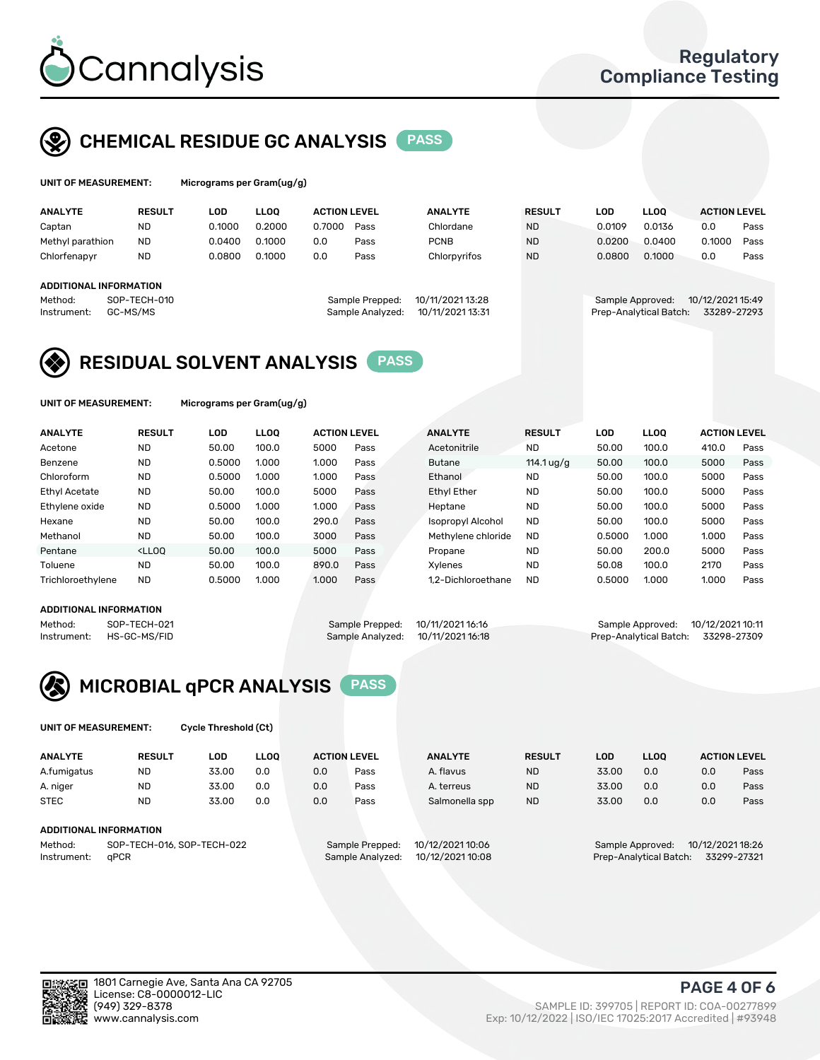

## CHEMICAL RESIDUE GC ANALYSIS PASS

| UNIT OF MEASUREMENT:<br>Micrograms per Gram(ug/g) |               |        |        |                     |                |               |        |             |                     |      |
|---------------------------------------------------|---------------|--------|--------|---------------------|----------------|---------------|--------|-------------|---------------------|------|
| <b>ANALYTE</b>                                    | <b>RESULT</b> | LOD    | LLOO   | <b>ACTION LEVEL</b> | <b>ANALYTE</b> | <b>RESULT</b> | LOD    | <b>LLOO</b> | <b>ACTION LEVEL</b> |      |
| Captan                                            | <b>NL</b>     | 0.1000 | 0.2000 | 0.7000<br>Pass      | Chlordane      | <b>ND</b>     | 0.0109 | 0.0136      | 0.0                 | Pass |

| Captan                        | <b>ND</b>    | 0.1000 | 0.2000 | 0.7000 | Pass             | Chlordane        | <b>ND</b> | 0.0109           | 0.0136                 | 0.0              | Pass |
|-------------------------------|--------------|--------|--------|--------|------------------|------------------|-----------|------------------|------------------------|------------------|------|
| Methyl parathion              | <b>ND</b>    | 0.0400 | 0.1000 | 0.0    | Pass             | <b>PCNB</b>      | <b>ND</b> | 0.0200           | 0.0400                 | 0.1000           | Pass |
| Chlorfenapyr                  | <b>ND</b>    | 0.0800 | 0.1000 | 0.0    | Pass             | Chlorpyrifos     | <b>ND</b> | 0.0800           | 0.1000                 | 0.0              | Pass |
| <b>ADDITIONAL INFORMATION</b> |              |        |        |        |                  |                  |           |                  |                        |                  |      |
| Method:                       | SOP-TECH-010 |        |        |        | Sample Prepped:  | 10/11/2021 13:28 |           | Sample Approved: |                        | 10/12/2021 15:49 |      |
| Instrument:                   | GC-MS/MS     |        |        |        | Sample Analyzed: | 10/11/2021 13:31 |           |                  | Prep-Analytical Batch: | 33289-27293      |      |

## RESIDUAL SOLVENT ANALYSIS PASS

UNIT OF MEASUREMENT: Micrograms per Gram(ug/g)

| <b>ANALYTE</b>       | <b>RESULT</b>                                                                                                                                                       | LOD    | <b>LLOO</b> | <b>ACTION LEVEL</b> |      | <b>ANALYTE</b>     | <b>RESULT</b> | <b>LOD</b> | LLOO  | <b>ACTION LEVEL</b> |      |
|----------------------|---------------------------------------------------------------------------------------------------------------------------------------------------------------------|--------|-------------|---------------------|------|--------------------|---------------|------------|-------|---------------------|------|
| Acetone              | <b>ND</b>                                                                                                                                                           | 50.00  | 100.0       | 5000                | Pass | Acetonitrile       | <b>ND</b>     | 50.00      | 100.0 | 410.0               | Pass |
| Benzene              | ND.                                                                                                                                                                 | 0.5000 | 1.000       | 1.000               | Pass | <b>Butane</b>      | 114.1 ug/g    | 50.00      | 100.0 | 5000                | Pass |
| Chloroform           | <b>ND</b>                                                                                                                                                           | 0.5000 | 1.000       | 1.000               | Pass | Ethanol            | <b>ND</b>     | 50.00      | 100.0 | 5000                | Pass |
| <b>Ethyl Acetate</b> | <b>ND</b>                                                                                                                                                           | 50.00  | 100.0       | 5000                | Pass | <b>Ethyl Ether</b> | <b>ND</b>     | 50.00      | 100.0 | 5000                | Pass |
| Ethylene oxide       | <b>ND</b>                                                                                                                                                           | 0.5000 | 1.000       | 1.000               | Pass | Heptane            | <b>ND</b>     | 50.00      | 100.0 | 5000                | Pass |
| Hexane               | <b>ND</b>                                                                                                                                                           | 50.00  | 100.0       | 290.0               | Pass | Isopropyl Alcohol  | <b>ND</b>     | 50.00      | 100.0 | 5000                | Pass |
| Methanol             | <b>ND</b>                                                                                                                                                           | 50.00  | 100.0       | 3000                | Pass | Methylene chloride | <b>ND</b>     | 0.5000     | 1.000 | 1.000               | Pass |
| Pentane              | <lloo< td=""><td>50.00</td><td>100.0</td><td>5000</td><td>Pass</td><td>Propane</td><td><b>ND</b></td><td>50.00</td><td>200.0</td><td>5000</td><td>Pass</td></lloo<> | 50.00  | 100.0       | 5000                | Pass | Propane            | <b>ND</b>     | 50.00      | 200.0 | 5000                | Pass |
| Toluene              | <b>ND</b>                                                                                                                                                           | 50.00  | 100.0       | 890.0               | Pass | Xvlenes            | <b>ND</b>     | 50.08      | 100.0 | 2170                | Pass |
| Trichloroethylene    | <b>ND</b>                                                                                                                                                           | 0.5000 | 1.000       | 1.000               | Pass | 1.2-Dichloroethane | <b>ND</b>     | 0.5000     | 1.000 | 1.000               | Pass |
|                      |                                                                                                                                                                     |        |             |                     |      |                    |               |            |       |                     |      |

#### ADDITIONAL INFORMATION

|         | AUUITIUNAL INFURMATIUN   |                                   |                                    |  |
|---------|--------------------------|-----------------------------------|------------------------------------|--|
| Method: | SOP-TECH-021             | Sample Prepped: 10/11/2021 16:16  | Sample Approved: 10/12/2021 10:11  |  |
|         | Instrument: HS-GC-MS/FID | Sample Analyzed: 10/11/2021 16:18 | Prep-Analytical Batch: 33298-27309 |  |



UNIT OF MEASUREMENT: Cycle Threshold (Ct)

| <b>ANALYTE</b>         | <b>RESULT</b>              | LOD   | <b>LLOO</b> |     | <b>ACTION LEVEL</b> | <b>ANALYTE</b>   | <b>RESULT</b> | <b>LOD</b> | <b>LLOO</b>            |                  | <b>ACTION LEVEL</b> |
|------------------------|----------------------------|-------|-------------|-----|---------------------|------------------|---------------|------------|------------------------|------------------|---------------------|
| A.fumigatus            | <b>ND</b>                  | 33.00 | 0.0         | 0.0 | Pass                | A. flavus        | <b>ND</b>     | 33.00      | 0.0                    | 0.0              | Pass                |
| A. niger               | <b>ND</b>                  | 33.00 | 0.0         | 0.0 | Pass                | A. terreus       | <b>ND</b>     | 33.00      | 0.0                    | 0.0              | Pass                |
| <b>STEC</b>            | <b>ND</b>                  | 33.00 | 0.0         | 0.0 | Pass                | Salmonella spp   | <b>ND</b>     | 33.00      | 0.0                    | 0.0              | Pass                |
| ADDITIONAL INFORMATION |                            |       |             |     |                     |                  |               |            |                        |                  |                     |
| Method:                | SOP-TECH-016, SOP-TECH-022 |       |             |     | Sample Prepped:     | 10/12/2021 10:06 |               |            | Sample Approved:       | 10/12/2021 18:26 |                     |
| Instrument:            | aPCR                       |       |             |     | Sample Analyzed:    | 10/12/2021 10:08 |               |            | Prep-Analytical Batch: |                  | 33299-27321         |

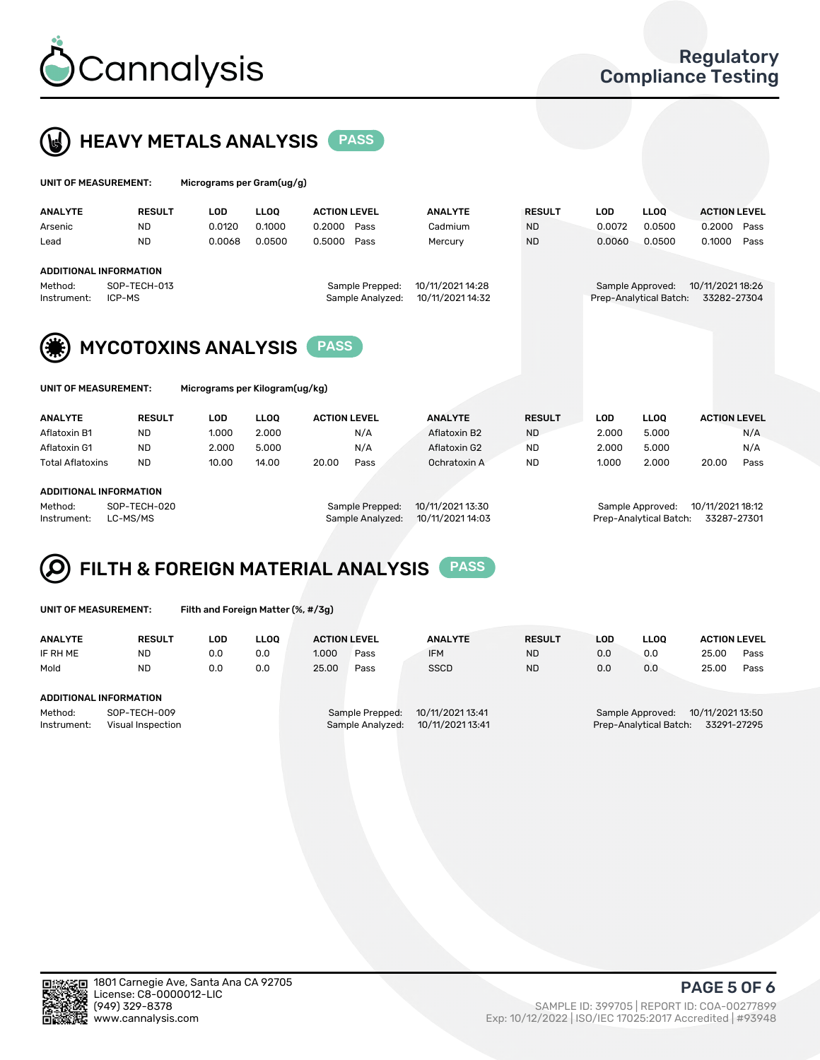



| UNIT OF MEASUREMENT:                                   |                                                         | Micrograms per Gram(ug/g) |             |                     |                                     |                                      |               |            |                                            |                                 |      |
|--------------------------------------------------------|---------------------------------------------------------|---------------------------|-------------|---------------------|-------------------------------------|--------------------------------------|---------------|------------|--------------------------------------------|---------------------------------|------|
| <b>ANALYTE</b>                                         | <b>RESULT</b>                                           | <b>LOD</b>                | <b>LLOO</b> | <b>ACTION LEVEL</b> |                                     | <b>ANALYTE</b>                       | <b>RESULT</b> | <b>LOD</b> | <b>LLOQ</b>                                | <b>ACTION LEVEL</b>             |      |
| Arsenic                                                | ND.                                                     | 0.0120                    | 0.1000      | 0.2000              | Pass                                | Cadmium                              | <b>ND</b>     | 0.0072     | 0.0500                                     | 0.2000                          | Pass |
| Lead                                                   | <b>ND</b>                                               | 0.0068                    | 0.0500      | 0.5000              | Pass                                | Mercury                              | <b>ND</b>     | 0.0060     | 0.0500                                     | 0.1000                          | Pass |
| Method:<br>Instrument:                                 | <b>ADDITIONAL INFORMATION</b><br>SOP-TECH-013<br>ICP-MS |                           |             |                     | Sample Prepped:<br>Sample Analyzed: | 10/11/2021 14:28<br>10/11/2021 14:32 |               |            | Sample Approved:<br>Prep-Analytical Batch: | 10/11/2021 18:26<br>33282-27304 |      |
|                                                        | <b>MYCOTOXINS ANALYSIS</b>                              |                           |             |                     |                                     |                                      |               |            |                                            |                                 |      |
| Micrograms per Kilogram(ug/kg)<br>UNIT OF MEASUREMENT: |                                                         |                           |             |                     |                                     |                                      |               |            |                                            |                                 |      |

| <b>ANALYTE</b>                | <b>RESULT</b> | LOD   | <b>LLOO</b>     | <b>ACTION LEVEL</b> | <b>ANALYTE</b> | <b>RESULT</b>    | <b>LLOO</b><br>LOD |                  | <b>ACTION LEVEL</b> |      |
|-------------------------------|---------------|-------|-----------------|---------------------|----------------|------------------|--------------------|------------------|---------------------|------|
| Aflatoxin B1                  | ND            | 1.000 | 2.000           | N/A                 | Aflatoxin B2   | <b>ND</b>        | 2.000              | 5.000            |                     | N/A  |
| Aflatoxin G1                  | <b>ND</b>     | 2.000 | 5.000           | N/A                 | Aflatoxin G2   | ND               | 2.000              | 5.000            |                     | N/A  |
| <b>Total Aflatoxins</b>       | <b>ND</b>     | 10.00 | 14.00           | 20.00<br>Pass       | Ochratoxin A   | <b>ND</b>        | 1.000              | 2.000            | 20.00               | Pass |
|                               |               |       |                 |                     |                |                  |                    |                  |                     |      |
| <b>ADDITIONAL INFORMATION</b> |               |       |                 |                     |                |                  |                    |                  |                     |      |
| SOP-TECH-020<br>Method:       |               |       | Sample Prepped: | 10/11/2021 13:30    |                | Sample Approved: |                    | 10/11/2021 18:12 |                     |      |

Instrument: LC-MS/MS Sample Analyzed: 10/11/2021 14:03 Prep-Analytical Batch: 33287-27301



UNIT OF MEASUREMENT: Filth and Foreign Matter (%, #/3g)

| <b>ANALYTE</b>                                              | <b>RESULT</b> | LOD | <b>LLOO</b> | <b>ACTION LEVEL</b>                                                         |      | <b>ANALYTE</b><br><b>RESULT</b> |                                                                            | LOD | LLOO | <b>ACTION LEVEL</b> |      |
|-------------------------------------------------------------|---------------|-----|-------------|-----------------------------------------------------------------------------|------|---------------------------------|----------------------------------------------------------------------------|-----|------|---------------------|------|
| IF RH ME                                                    | <b>ND</b>     | 0.0 | 0.0         | 1.000                                                                       | Pass | <b>IFM</b>                      | <b>ND</b>                                                                  | 0.0 | 0.0  | 25.00               | Pass |
| Mold                                                        | <b>ND</b>     | 0.0 | 0.0         | 25.00                                                                       | Pass | <b>SSCD</b>                     | <b>ND</b>                                                                  | 0.0 | 0.0  | 25.00               | Pass |
| <b>ADDITIONAL INFORMATION</b>                               |               |     |             |                                                                             |      |                                 |                                                                            |     |      |                     |      |
| Method:<br>SOP-TECH-009<br>Instrument:<br>Visual Inspection |               |     |             | 10/11/2021 13:41<br>Sample Prepped:<br>10/11/2021 13:41<br>Sample Analyzed: |      |                                 | 10/11/2021 13:50<br>Sample Approved:<br>Prep-Analytical Batch: 33291-27295 |     |      |                     |      |



PAGE 5 OF 6